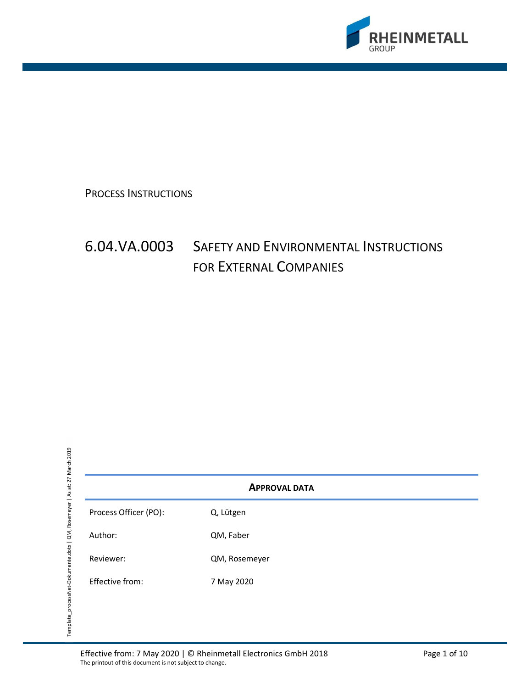

PROCESS INSTRUCTIONS

# 6.04.VA.0003 SAFETY AND ENVIRONMENTAL INSTRUCTIONS FOR EXTERNAL COMPANIES

APPROVAL DATA

Process Officer (PO): C, Lütgen

Author: QM, Faber

Reviewer: QM, Rosemeyer

Effective from: 7 May 2020

Effective from: 7 May 2020 | © Rheinmetall Electronics GmbH 2018 Page 1 of 10 The printout of this document is not subject to change.<br>
The printout of this document is not subject to change.<br>
The printout of this document is not subject to change.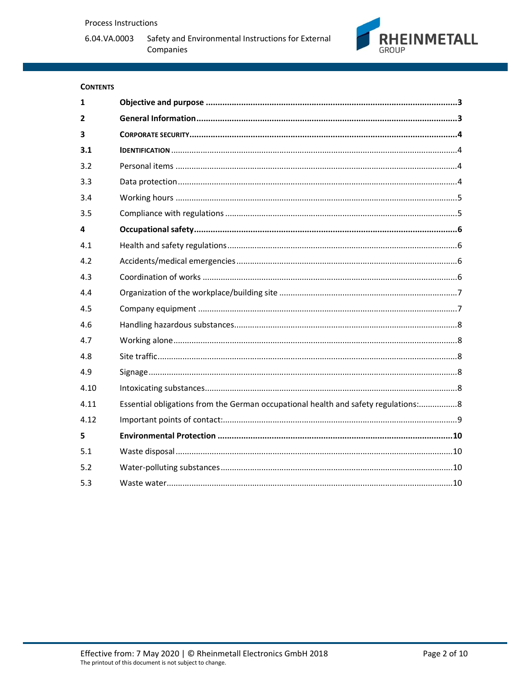6.04.VA.0003



# **CONTENTS**

| $\mathbf{1}$            |                                                                                    |
|-------------------------|------------------------------------------------------------------------------------|
| $\overline{2}$          |                                                                                    |
| $\overline{\mathbf{3}}$ |                                                                                    |
| 3.1                     |                                                                                    |
| 3.2                     |                                                                                    |
| 3.3                     |                                                                                    |
| 3.4                     |                                                                                    |
| 3.5                     |                                                                                    |
| $\overline{4}$          |                                                                                    |
| 4.1                     |                                                                                    |
| 4.2                     |                                                                                    |
| 4.3                     |                                                                                    |
| 4.4                     |                                                                                    |
| 4.5                     |                                                                                    |
| 4.6                     |                                                                                    |
| 4.7                     |                                                                                    |
| 4.8                     |                                                                                    |
| 4.9                     |                                                                                    |
| 4.10                    |                                                                                    |
| 4.11                    | Essential obligations from the German occupational health and safety regulations:8 |
| 4.12                    |                                                                                    |
| 5                       |                                                                                    |
| 5.1                     |                                                                                    |
| 5.2                     |                                                                                    |
| 5.3                     |                                                                                    |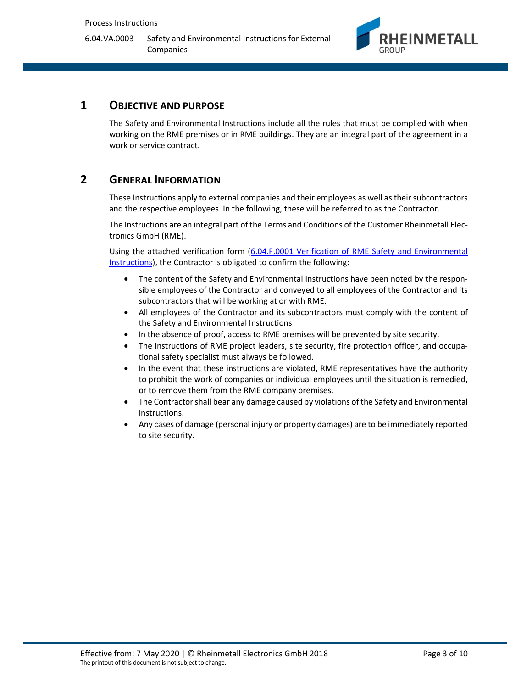

# 1 OBJECTIVE AND PURPOSE

The Safety and Environmental Instructions include all the rules that must be complied with when working on the RME premises or in RME buildings. They are an integral part of the agreement in a work or service contract.

# 2 GENERAL INFORMATION

These Instructions apply to external companies and their employees as well as their subcontractors and the respective employees. In the following, these will be referred to as the Contractor.

The Instructions are an integral part of the Terms and Conditions of the Customer Rheinmetall Electronics GmbH (RME).

Using the attached verification form (6.04.F.0001 Verification of RME Safety and Environmental Instructions), the Contractor is obligated to confirm the following:

- The content of the Safety and Environmental Instructions have been noted by the responsible employees of the Contractor and conveyed to all employees of the Contractor and its subcontractors that will be working at or with RME.
- All employees of the Contractor and its subcontractors must comply with the content of the Safety and Environmental Instructions
- In the absence of proof, access to RME premises will be prevented by site security.
- The instructions of RME project leaders, site security, fire protection officer, and occupational safety specialist must always be followed.
- In the event that these instructions are violated, RME representatives have the authority to prohibit the work of companies or individual employees until the situation is remedied, or to remove them from the RME company premises.
- The Contractor shall bear any damage caused by violations of the Safety and Environmental Instructions.
- Any cases of damage (personal injury or property damages) are to be immediately reported to site security.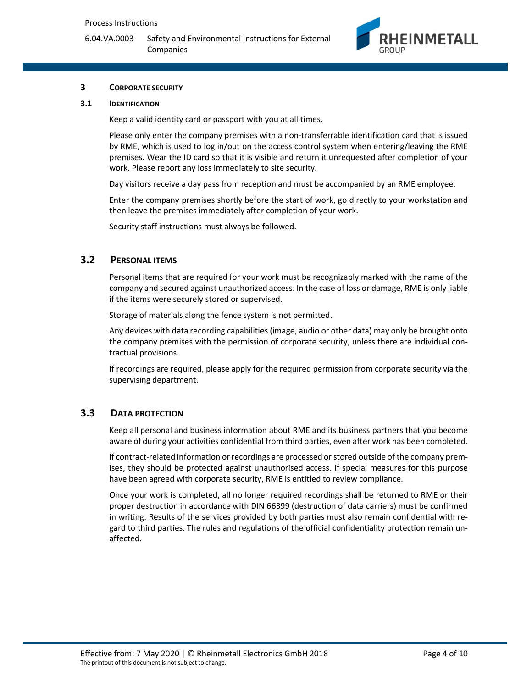

#### 3 CORPORATE SECURITY

#### 3.1 IDENTIFICATION

Keep a valid identity card or passport with you at all times.

Please only enter the company premises with a non-transferrable identification card that is issued by RME, which is used to log in/out on the access control system when entering/leaving the RME premises. Wear the ID card so that it is visible and return it unrequested after completion of your work. Please report any loss immediately to site security.

Day visitors receive a day pass from reception and must be accompanied by an RME employee.

Enter the company premises shortly before the start of work, go directly to your workstation and then leave the premises immediately after completion of your work.

Security staff instructions must always be followed.

#### 3.2 PERSONAL ITEMS

Personal items that are required for your work must be recognizably marked with the name of the company and secured against unauthorized access. In the case of loss or damage, RME is only liable if the items were securely stored or supervised.

Storage of materials along the fence system is not permitted.

Any devices with data recording capabilities (image, audio or other data) may only be brought onto the company premises with the permission of corporate security, unless there are individual contractual provisions.

If recordings are required, please apply for the required permission from corporate security via the supervising department.

# 3.3 DATA PROTECTION

Keep all personal and business information about RME and its business partners that you become aware of during your activities confidential from third parties, even after work has been completed.

If contract-related information or recordings are processed or stored outside of the company premises, they should be protected against unauthorised access. If special measures for this purpose have been agreed with corporate security, RME is entitled to review compliance.

Once your work is completed, all no longer required recordings shall be returned to RME or their proper destruction in accordance with DIN 66399 (destruction of data carriers) must be confirmed in writing. Results of the services provided by both parties must also remain confidential with regard to third parties. The rules and regulations of the official confidentiality protection remain unaffected.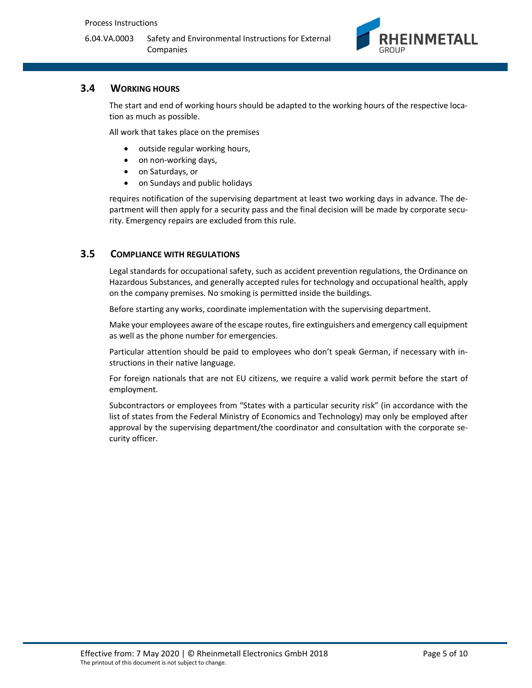

# 3.4 WORKING HOURS

The start and end of working hours should be adapted to the working hours of the respective location as much as possible.

All work that takes place on the premises

- outside regular working hours,
- on non-working days,
- on Saturdays, or
- on Sundays and public holidays

requires notification of the supervising department at least two working days in advance. The department will then apply for a security pass and the final decision will be made by corporate security. Emergency repairs are excluded from this rule.

#### 3.5 COMPLIANCE WITH REGULATIONS

Legal standards for occupational safety, such as accident prevention regulations, the Ordinance on Hazardous Substances, and generally accepted rules for technology and occupational health, apply on the company premises. No smoking is permitted inside the buildings.

Before starting any works, coordinate implementation with the supervising department.

Make your employees aware of the escape routes, fire extinguishers and emergency call equipment as well as the phone number for emergencies.

Particular attention should be paid to employees who don't speak German, if necessary with instructions in their native language.

For foreign nationals that are not EU citizens, we require a valid work permit before the start of employment.

Subcontractors or employees from "States with a particular security risk" (in accordance with the list of states from the Federal Ministry of Economics and Technology) may only be employed after approval by the supervising department/the coordinator and consultation with the corporate security officer.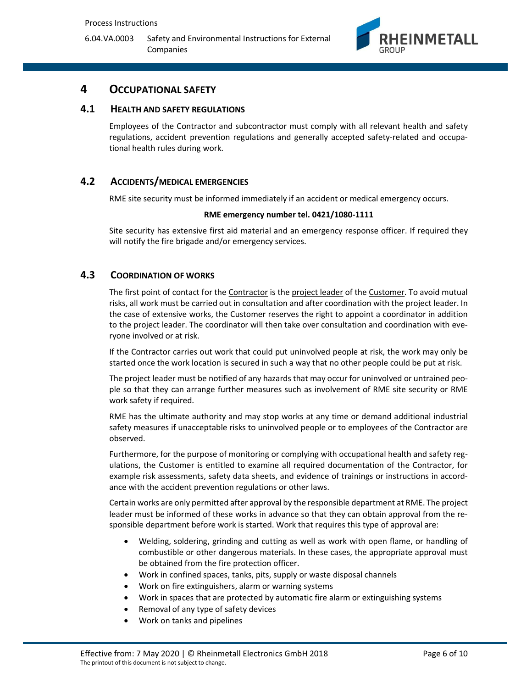

# 4 OCCUPATIONAL SAFETY

#### 4.1 HEALTH AND SAFETY REGULATIONS

Employees of the Contractor and subcontractor must comply with all relevant health and safety regulations, accident prevention regulations and generally accepted safety-related and occupational health rules during work.

# 4.2 ACCIDENTS/MEDICAL EMERGENCIES

RME site security must be informed immediately if an accident or medical emergency occurs.

#### RME emergency number tel. 0421/1080-1111

Site security has extensive first aid material and an emergency response officer. If required they will notify the fire brigade and/or emergency services.

#### 4.3 COORDINATION OF WORKS

The first point of contact for the Contractor is the project leader of the Customer. To avoid mutual risks, all work must be carried out in consultation and after coordination with the project leader. In the case of extensive works, the Customer reserves the right to appoint a coordinator in addition to the project leader. The coordinator will then take over consultation and coordination with everyone involved or at risk.

If the Contractor carries out work that could put uninvolved people at risk, the work may only be started once the work location is secured in such a way that no other people could be put at risk.

The project leader must be notified of any hazards that may occur for uninvolved or untrained people so that they can arrange further measures such as involvement of RME site security or RME work safety if required.

RME has the ultimate authority and may stop works at any time or demand additional industrial safety measures if unacceptable risks to uninvolved people or to employees of the Contractor are observed.

Furthermore, for the purpose of monitoring or complying with occupational health and safety regulations, the Customer is entitled to examine all required documentation of the Contractor, for example risk assessments, safety data sheets, and evidence of trainings or instructions in accordance with the accident prevention regulations or other laws.

Certain works are only permitted after approval by the responsible department at RME. The project leader must be informed of these works in advance so that they can obtain approval from the responsible department before work is started. Work that requires this type of approval are:

- Welding, soldering, grinding and cutting as well as work with open flame, or handling of combustible or other dangerous materials. In these cases, the appropriate approval must be obtained from the fire protection officer.
- Work in confined spaces, tanks, pits, supply or waste disposal channels
- Work on fire extinguishers, alarm or warning systems
- Work in spaces that are protected by automatic fire alarm or extinguishing systems
- Removal of any type of safety devices
- Work on tanks and pipelines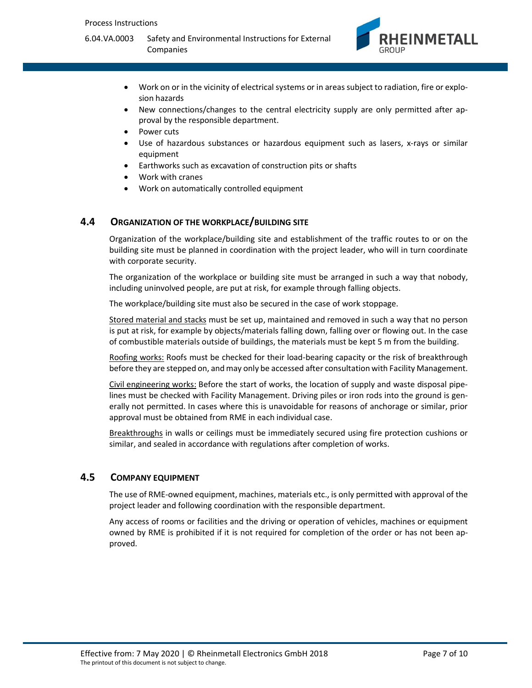

- Work on or in the vicinity of electrical systems or in areas subject to radiation, fire or explosion hazards
- New connections/changes to the central electricity supply are only permitted after approval by the responsible department.
- Power cuts
- Use of hazardous substances or hazardous equipment such as lasers, x-rays or similar equipment
- Earthworks such as excavation of construction pits or shafts
- Work with cranes
- Work on automatically controlled equipment

#### 4.4 ORGANIZATION OF THE WORKPLACE/BUILDING SITE

Organization of the workplace/building site and establishment of the traffic routes to or on the building site must be planned in coordination with the project leader, who will in turn coordinate with corporate security.

The organization of the workplace or building site must be arranged in such a way that nobody, including uninvolved people, are put at risk, for example through falling objects.

The workplace/building site must also be secured in the case of work stoppage.

Stored material and stacks must be set up, maintained and removed in such a way that no person is put at risk, for example by objects/materials falling down, falling over or flowing out. In the case of combustible materials outside of buildings, the materials must be kept 5 m from the building.

Roofing works: Roofs must be checked for their load-bearing capacity or the risk of breakthrough before they are stepped on, and may only be accessed after consultation with Facility Management.

Civil engineering works: Before the start of works, the location of supply and waste disposal pipelines must be checked with Facility Management. Driving piles or iron rods into the ground is generally not permitted. In cases where this is unavoidable for reasons of anchorage or similar, prior approval must be obtained from RME in each individual case.

Breakthroughs in walls or ceilings must be immediately secured using fire protection cushions or similar, and sealed in accordance with regulations after completion of works.

#### 4.5 COMPANY EQUIPMENT

The use of RME-owned equipment, machines, materials etc., is only permitted with approval of the project leader and following coordination with the responsible department.

Any access of rooms or facilities and the driving or operation of vehicles, machines or equipment owned by RME is prohibited if it is not required for completion of the order or has not been approved.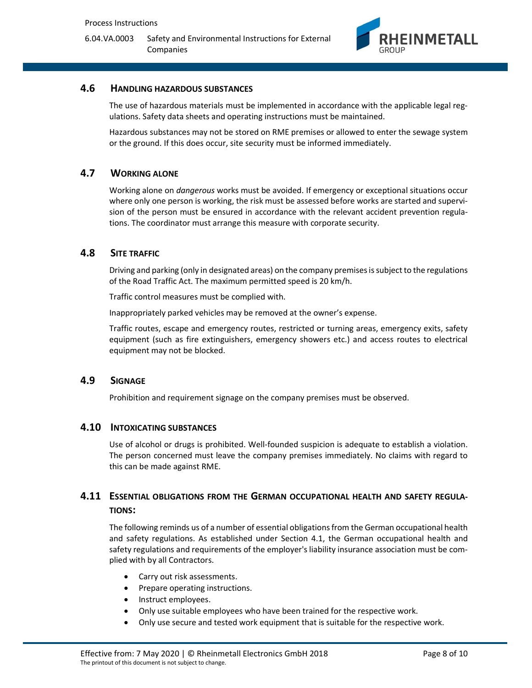

# 4.6 HANDLING HAZARDOUS SUBSTANCES

The use of hazardous materials must be implemented in accordance with the applicable legal regulations. Safety data sheets and operating instructions must be maintained.

Hazardous substances may not be stored on RME premises or allowed to enter the sewage system or the ground. If this does occur, site security must be informed immediately.

#### 4.7 WORKING ALONE

Working alone on dangerous works must be avoided. If emergency or exceptional situations occur where only one person is working, the risk must be assessed before works are started and supervision of the person must be ensured in accordance with the relevant accident prevention regulations. The coordinator must arrange this measure with corporate security.

#### 4.8 SITE TRAFFIC

Driving and parking (only in designated areas) on the company premises is subject to the regulations of the Road Traffic Act. The maximum permitted speed is 20 km/h.

Traffic control measures must be complied with.

Inappropriately parked vehicles may be removed at the owner's expense.

Traffic routes, escape and emergency routes, restricted or turning areas, emergency exits, safety equipment (such as fire extinguishers, emergency showers etc.) and access routes to electrical equipment may not be blocked.

#### 4.9 SIGNAGE

Prohibition and requirement signage on the company premises must be observed.

#### 4.10 INTOXICATING SUBSTANCES

Use of alcohol or drugs is prohibited. Well-founded suspicion is adequate to establish a violation. The person concerned must leave the company premises immediately. No claims with regard to this can be made against RME.

# 4.11 ESSENTIAL OBLIGATIONS FROM THE GERMAN OCCUPATIONAL HEALTH AND SAFETY REGULA-TIONS:

The following reminds us of a number of essential obligations from the German occupational health and safety regulations. As established under Section 4.1, the German occupational health and safety regulations and requirements of the employer's liability insurance association must be complied with by all Contractors.

- Carry out risk assessments.
- Prepare operating instructions.
- Instruct employees.
- Only use suitable employees who have been trained for the respective work.
- Only use secure and tested work equipment that is suitable for the respective work.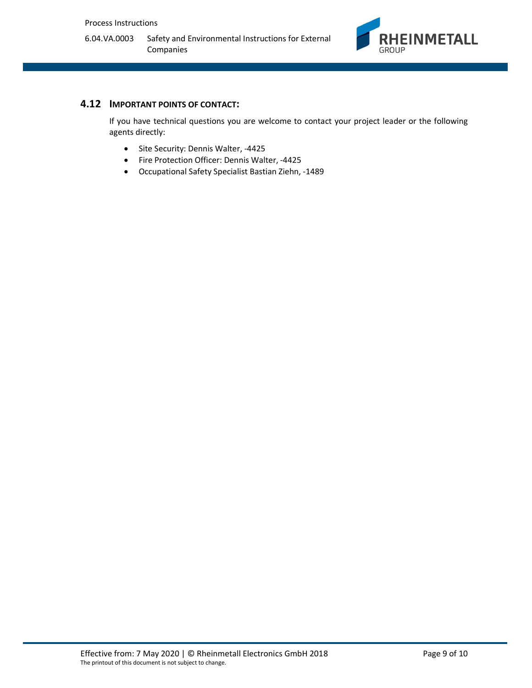

#### 4.12 IMPORTANT POINTS OF CONTACT:

If you have technical questions you are welcome to contact your project leader or the following agents directly:

- Site Security: Dennis Walter, -4425
- Fire Protection Officer: Dennis Walter, -4425
- Occupational Safety Specialist Bastian Ziehn, -1489